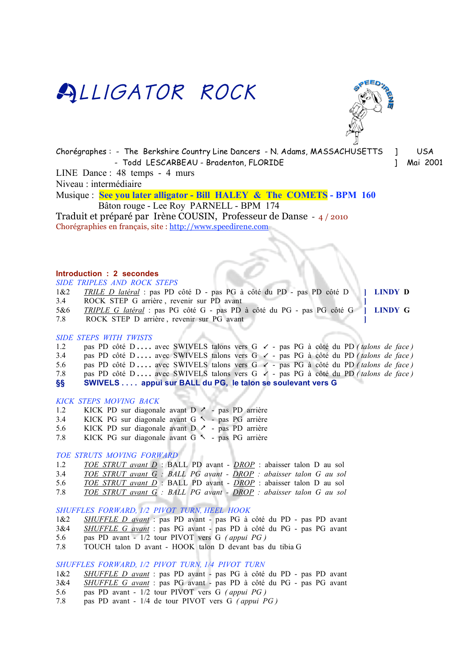



Chorégraphes : - The Berkshire Country Line Dancers - N. Adams, MASSACHUSETTS ] USA - Todd LESCARBEAU - Bradenton, FLORIDE ] Mai 2001

LINE Dance : 48 temps - 4 murs

Niveau : intermédiaire

Musique : **See you later alligator - Bill HALEY & The COMETS - BPM 160** Bâton rouge - Lee Roy PARNELL - BPM 174

Traduit et préparé par Irène COUSIN, Professeur de Danse - 4 / 2010 Chorégraphies en français, site : http://www.speedirene.com

# **Introduction : 2 secondes**

*SIDE TRIPLES AND ROCK STEPS*

- 1&2 *TRILE D latéral* : pas PD côté D pas PG à côté du PD pas PD côté D **] LINDY D**
- 3.4 ROCK STEP G arrière, revenir sur PD avant
- 5&6 *TRIPLE G latéral* : pas PG côté G pas PD à côté du PG pas PG côté G **] LINDY G**
- 7.8 ROCK STEP D arrière , revenir sur PG avant **]**

### *SIDE STEPS WITH TWISTS*

1.2 pas PD côté D .... avec SWIVELS talons vers G  $\swarrow$  - pas PG à côté du PD *(talons de face)* 3.4 pas PD côté D .... avec SWIVELS talons vers G  $\swarrow$  - pas PG à côté du PD *(talons de face)* 5.6 pas PD côté D .... avec SWIVELS talons vers G  $\lt$  - pas PG à côté du PD *(talons de face)* 7.8 pas PD côté D **. . . .** avec SWIVELS talons vers G - pas PG à côté du PD *( talons de face )* **§§ SWIVELS . . . . appui sur BALL du PG, le talon se soulevant vers G** 

## *KICK STEPS MOVING BACK*

- 1.2 KICK PD sur diagonale avant D  $\ge$  pas PD arrière
- 3.4 KICK PG sur diagonale avant  $G \sim$  pas PG arrière
- 5.6 KICK PD sur diagonale avant D  $\sim$  pas PD arrière
- 7.8 KICK PG sur diagonale avant  $G \sim -$  pas PG arrière

# *TOE STRUTS MOVING FORWARD*

- 1.2 *TOE STRUT avant D* : BALL PD avant *DROP* : abaisser talon D au sol
- 3.4 *TOE STRUT avant G : BALL PG avant DROP : abaisser talon G au sol*
- 5.6 *TOE STRUT avant D* : BALL PD avant *DROP* : abaisser talon D au sol
- 7.8 *TOE STRUT avant G : BALL PG avant DROP : abaisser talon G au sol*

# *SHUFFLES FORWARD, 1/2 PIVOT TURN, HEEL HOOK*

- 1&2 *SHUFFLE D avant* : pas PD avant pas PG à côté du PD pas PD avant
- 3&4 *SHUFFLE G avant* : pas PG avant pas PD à côté du PG pas PG avant
- 5.6 pas PD avant 1/2 tour PIVOT vers G *( appui PG )*
- 7.8 TOUCH talon D avant HOOK talon D devant bas du tibia G

# *SHUFFLES FORWARD, 1/2 PIVOT TURN, 1/4 PIVOT TURN*

- 1&2 *SHUFFLE D avant* : pas PD avant pas PG à côté du PD pas PD avant
- 3&4 *SHUFFLE G avant* : pas PG avant pas PD à côté du PG pas PG avant
- 5.6 pas PD avant 1/2 tour PIVOT vers G *( appui PG )*
- 7.8 pas PD avant 1/4 de tour PIVOT vers G *( appui PG )*